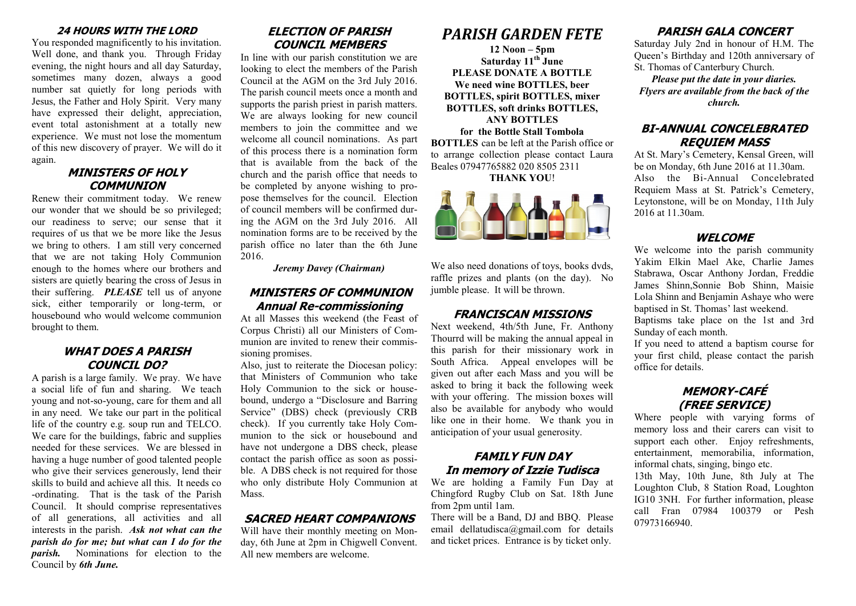#### **24 HOURS WITH THE LORD**

You responded magnificently to his invitation. Well done, and thank you. Through Friday evening, the night hours and all day Saturday, sometimes many dozen, always a good number sat quietly for long periods with Jesus, the Father and Holy Spirit. Very many have expressed their delight, appreciation, event total astonishment at a totally new experience. We must not lose the momentum of this new discovery of prayer. We will do it again.

#### **MINISTERS OF HOLY COMMUNION**

Renew their commitment today. We renew our wonder that we should be so privileged; our readiness to serve; our sense that it requires of us that we be more like the Jesus we bring to others. I am still very concerned that we are not taking Holy Communion enough to the homes where our brothers and sisters are quietly bearing the cross of Jesus in their suffering. *PLEASE* tell us of anyone sick, either temporarily or long-term, or housebound who would welcome communion brought to them.

#### **WHAT DOES A PARISH COUNCIL DO?**

A parish is a large family. We pray. We have a social life of fun and sharing. We teach young and not-so-young, care for them and all in any need. We take our part in the political life of the country e.g. soup run and TELCO. We care for the buildings, fabric and supplies needed for these services. We are blessed in having a huge number of good talented people who give their services generously, lend their skills to build and achieve all this. It needs co -ordinating. That is the task of the Parish Council. It should comprise representatives of all generations, all activities and all interests in the parish. *Ask not what can the parish do for me; but what can I do for the parish.* Nominations for election to the Council by *6th June.*

# **ELECTION OF PARISH COUNCIL MEMBERS**

In line with our parish constitution we are looking to elect the members of the Parish Council at the AGM on the 3rd July 2016. The parish council meets once a month and supports the parish priest in parish matters. We are always looking for new council members to join the committee and we welcome all council nominations. As part of this process there is a nomination form that is available from the back of the church and the parish office that needs to be completed by anyone wishing to propose themselves for the council. Election of council members will be confirmed during the AGM on the 3rd July 2016. All nomination forms are to be received by the parish office no later than the 6th June 2016.

*Jeremy Davey (Chairman)*

#### **MINISTERS OF COMMUNION Annual Re-commissioning**

At all Masses this weekend (the Feast of Corpus Christi) all our Ministers of Communion are invited to renew their commissioning promises.

Also, just to reiterate the Diocesan policy: that Ministers of Communion who take Holy Communion to the sick or housebound, undergo a "Disclosure and Barring Service" (DBS) check (previously CRB check). If you currently take Holy Communion to the sick or housebound and have not undergone a DBS check, please contact the parish office as soon as possible. A DBS check is not required for those who only distribute Holy Communion at Mass.

#### **SACRED HEART COMPANIONS**

Will have their monthly meeting on Monday, 6th June at 2pm in Chigwell Convent. All new members are welcome.

# *PARISH GARDEN FETE*

**12 Noon – 5pm Saturday 11th June PLEASE DONATE A BOTTLE We need wine BOTTLES, beer BOTTLES, spirit BOTTLES, mixer BOTTLES, soft drinks BOTTLES, ANY BOTTLES for the Bottle Stall Tombola**

**BOTTLES** can be left at the Parish office or to arrange collection please contact Laura Beales 07947765882 020 8505 2311

**THANK YOU**!



We also need donations of toys, books dyds, raffle prizes and plants (on the day). No jumble please. It will be thrown.

#### **FRANCISCAN MISSIONS**

Next weekend, 4th/5th June, Fr. Anthony Thourrd will be making the annual appeal in this parish for their missionary work in South Africa. Appeal envelopes will be given out after each Mass and you will be asked to bring it back the following week with your offering. The mission boxes will also be available for anybody who would like one in their home. We thank you in anticipation of your usual generosity.

#### **FAMILY FUN DAY In memory of Izzie Tudisca**

We are holding a Family Fun Day at Chingford Rugby Club on Sat. 18th June from 2pm until 1am.

There will be a Band, DJ and BBQ. Please email dellatudisca@gmail.com for details and ticket prices. Entrance is by ticket only.

# **PARISH GALA CONCERT**

Saturday July 2nd in honour of H.M. The Queen's Birthday and 120th anniversary of St. Thomas of Canterbury Church.

*Please put the date in your diaries. Flyers are available from the back of the church.*

# **BI-ANNUAL CONCELEBRATED REQUIEM MASS**

At St. Mary's Cemetery, Kensal Green, will be on Monday, 6th June 2016 at 11.30am. Also the Bi-Annual Concelebrated Requiem Mass at St. Patrick's Cemetery, Leytonstone, will be on Monday, 11th July 2016 at 11.30am.

# **WELCOME**

We welcome into the parish community Yakim Elkin Mael Ake, Charlie James Stabrawa, Oscar Anthony Jordan, Freddie James Shinn, Sonnie Bob Shinn, Maisie Lola Shinn and Benjamin Ashaye who were baptised in St. Thomas' last weekend.

Baptisms take place on the 1st and 3rd Sunday of each month.

If you need to attend a baptism course for your first child, please contact the parish office for details.

# **MEMORY-CAFÉ (FREE SERVICE)**

Where people with varying forms of memory loss and their carers can visit to support each other. Enjoy refreshments, entertainment, memorabilia, information, informal chats, singing, bingo etc.

13th May, 10th June, 8th July at The Loughton Club, 8 Station Road, Loughton IG10 3NH. For further information, please call Fran 07984 100379 or Pesh 07973166940.